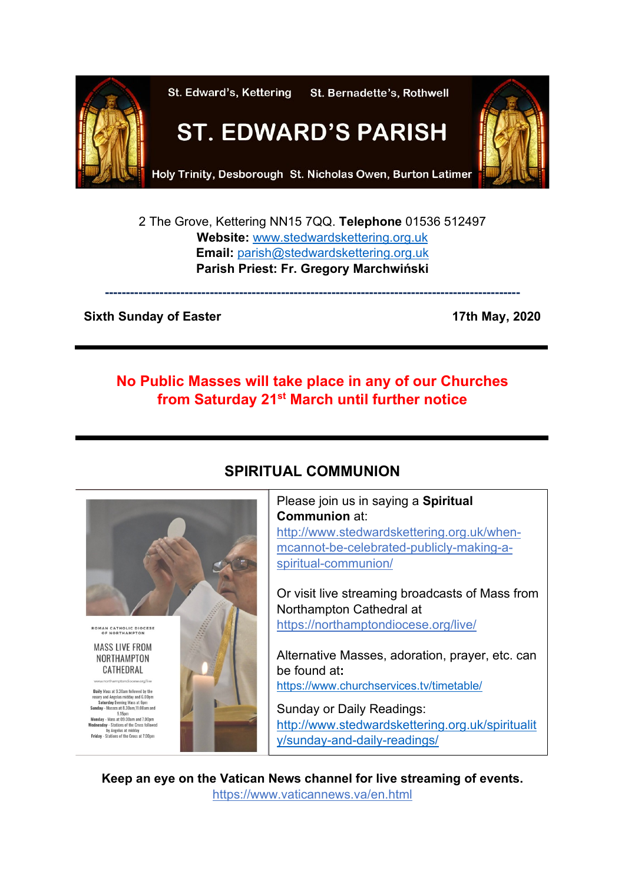

2 The Grove, Kettering NN15 7QQ. **Telephone** 01536 512497 **Website:** [www.stedwardskettering.org.uk](http://www.stedwardskettering.org.uk/) **Email:** [parish@stedwardskettering.org.uk](mailto:parish@stedwardskettering.org.uk) **Parish Priest: Fr. Gregory Marchwiński**

**---------------------------------------------------------------------------------------------------**

### **Sixth Sunday of Easter 17th May, 2020**

# **No Public Masses will take place in any of our Churches from Saturday 21st March until further notice**



# **SPIRITUAL COMMUNION**

Please join us in saying a **Spiritual Communion** at: [http://www.stedwardskettering.org.uk/when](http://www.stedwardskettering.org.uk/when-mass-cannot-be-celebrated-publicly-making-a-spiritual-communion/)[mcannot-be-celebrated-publicly-making-a](http://www.stedwardskettering.org.uk/when-mass-cannot-be-celebrated-publicly-making-a-spiritual-communion/)[spiritual-communion/](http://www.stedwardskettering.org.uk/when-mass-cannot-be-celebrated-publicly-making-a-spiritual-communion/)

Or visit live streaming broadcasts of Mass from Northampton Cathedral at <https://northamptondiocese.org/live/>

Alternative Masses, adoration, prayer, etc. can be found at**:**  <https://www.churchservices.tv/timetable/>

Sunday or Daily Readings: [http://www.stedwardskettering.org.uk/spiritualit](http://www.stedwardskettering.org.uk/spirituality/sunday-and-daily-readings/) [y/sunday-and-daily-readings/](http://www.stedwardskettering.org.uk/spirituality/sunday-and-daily-readings/)

**Keep an eye on the Vatican News channel for live streaming of events.**  <https://www.vaticannews.va/en.html>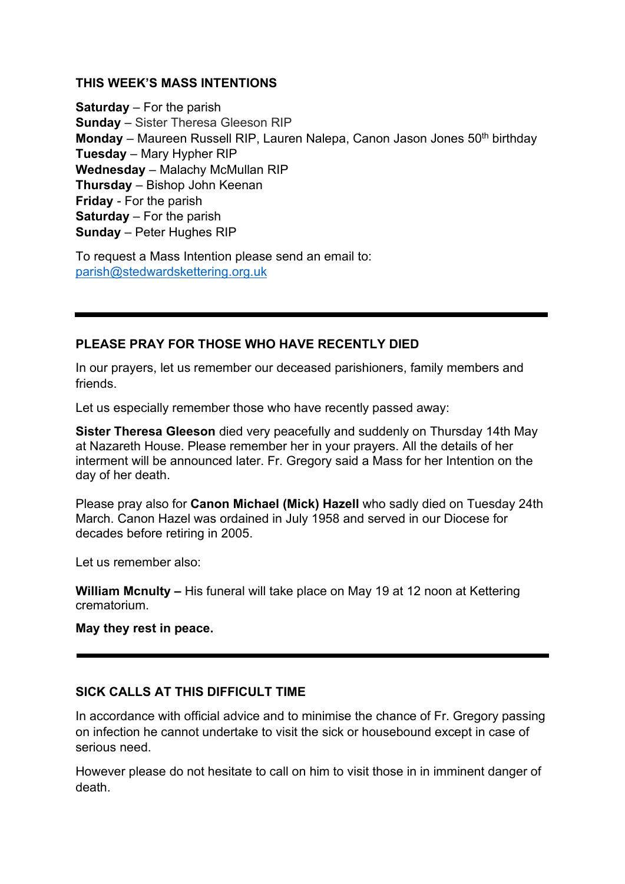### **THIS WEEK'S MASS INTENTIONS**

**Saturday** – For the parish **Sunday** – Sister Theresa Gleeson RIP **Monday** – Maureen Russell RIP, Lauren Nalepa, Canon Jason Jones 50<sup>th</sup> birthday **Tuesday** – Mary Hypher RIP **Wednesday** – Malachy McMullan RIP **Thursday** – Bishop John Keenan **Friday** - For the parish **Saturday** – For the parish **Sunday** – Peter Hughes RIP

To request a Mass Intention please send an email to: [parish@stedwardskettering.org.uk](mailto:parish@stedwardskettering.org.uk)

# **PLEASE PRAY FOR THOSE WHO HAVE RECENTLY DIED**

In our prayers, let us remember our deceased parishioners, family members and friends.

Let us especially remember those who have recently passed away:

**Sister Theresa Gleeson** died very peacefully and suddenly on Thursday 14th May at Nazareth House. Please remember her in your prayers. All the details of her interment will be announced later. Fr. Gregory said a Mass for her Intention on the day of her death.

Please pray also for **Canon Michael (Mick) Hazell** who sadly died on Tuesday 24th March. Canon Hazel was ordained in July 1958 and served in our Diocese for decades before retiring in 2005.

Let us remember also:

**William Mcnulty –** His funeral will take place on May 19 at 12 noon at Kettering crematorium.

**May they rest in peace.**

### **SICK CALLS AT THIS DIFFICULT TIME**

In accordance with official advice and to minimise the chance of Fr. Gregory passing on infection he cannot undertake to visit the sick or housebound except in case of serious need.

However please do not hesitate to call on him to visit those in in imminent danger of death.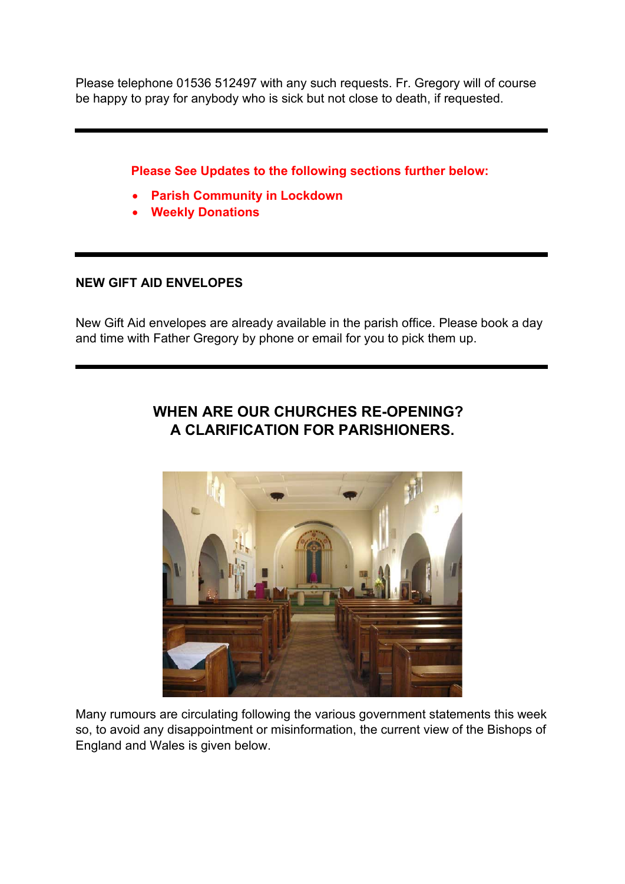Please telephone 01536 512497 with any such requests. Fr. Gregory will of course be happy to pray for anybody who is sick but not close to death, if requested.

**Please See Updates to the following sections further below:**

- **Parish Community in Lockdown**
- **Weekly Donations**

# **NEW GIFT AID ENVELOPES**

New Gift Aid envelopes are already available in the parish office. Please book a day and time with Father Gregory by phone or email for you to pick them up.



# **WHEN ARE OUR CHURCHES RE-OPENING? A CLARIFICATION FOR PARISHIONERS.**

Many rumours are circulating following the various government statements this week so, to avoid any disappointment or misinformation, the current view of the Bishops of England and Wales is given below.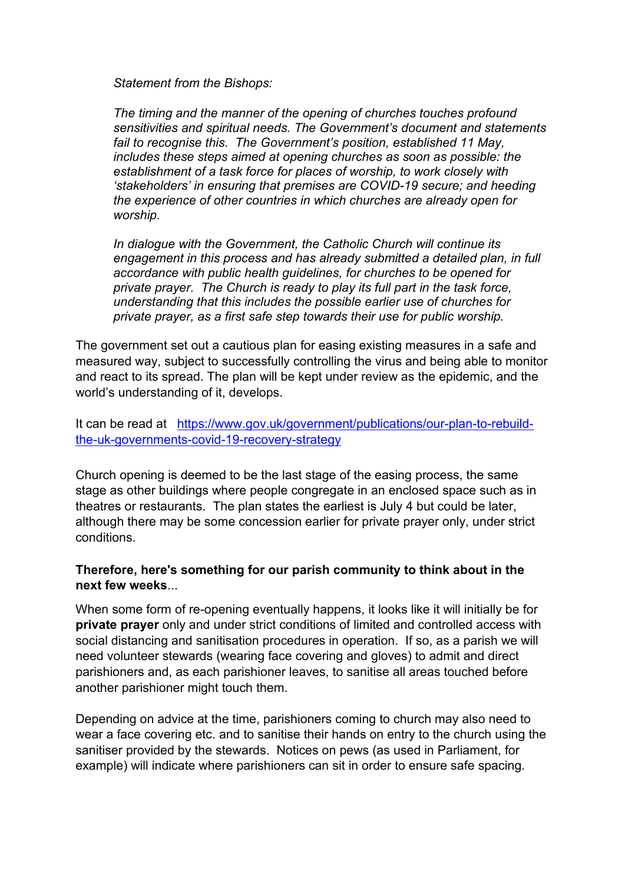*Statement from the Bishops:*

*The timing and the manner of the opening of churches touches profound sensitivities and spiritual needs. The Government's document and statements fail to recognise this. The Government's position, established 11 May, includes these steps aimed at opening churches as soon as possible: the establishment of a task force for places of worship, to work closely with 'stakeholders' in ensuring that premises are COVID-19 secure; and heeding the experience of other countries in which churches are already open for worship.*

*In dialogue with the Government, the Catholic Church will continue its engagement in this process and has already submitted a detailed plan, in full accordance with public health guidelines, for churches to be opened for private prayer. The Church is ready to play its full part in the task force, understanding that this includes the possible earlier use of churches for private prayer, as a first safe step towards their use for public worship.*

The government set out a cautious plan for easing existing measures in a safe and measured way, subject to successfully controlling the virus and being able to monitor and react to its spread. The plan will be kept under review as the epidemic, and the world's understanding of it, develops.

It can be read at [https://www.gov.uk/government/publications/our-plan-to-rebuild](https://www.gov.uk/government/publications/our-plan-to-rebuild-the-uk-governments-covid-19-recovery-strategy)[the-uk-governments-covid-19-recovery-strategy](https://www.gov.uk/government/publications/our-plan-to-rebuild-the-uk-governments-covid-19-recovery-strategy)

Church opening is deemed to be the last stage of the easing process, the same stage as other buildings where people congregate in an enclosed space such as in theatres or restaurants. The plan states the earliest is July 4 but could be later, although there may be some concession earlier for private prayer only, under strict conditions.

### **Therefore, here's something for our parish community to think about in the next few weeks**...

When some form of re-opening eventually happens, it looks like it will initially be for **private prayer** only and under strict conditions of limited and controlled access with social distancing and sanitisation procedures in operation. If so, as a parish we will need volunteer stewards (wearing face covering and gloves) to admit and direct parishioners and, as each parishioner leaves, to sanitise all areas touched before another parishioner might touch them.

Depending on advice at the time, parishioners coming to church may also need to wear a face covering etc. and to sanitise their hands on entry to the church using the sanitiser provided by the stewards. Notices on pews (as used in Parliament, for example) will indicate where parishioners can sit in order to ensure safe spacing.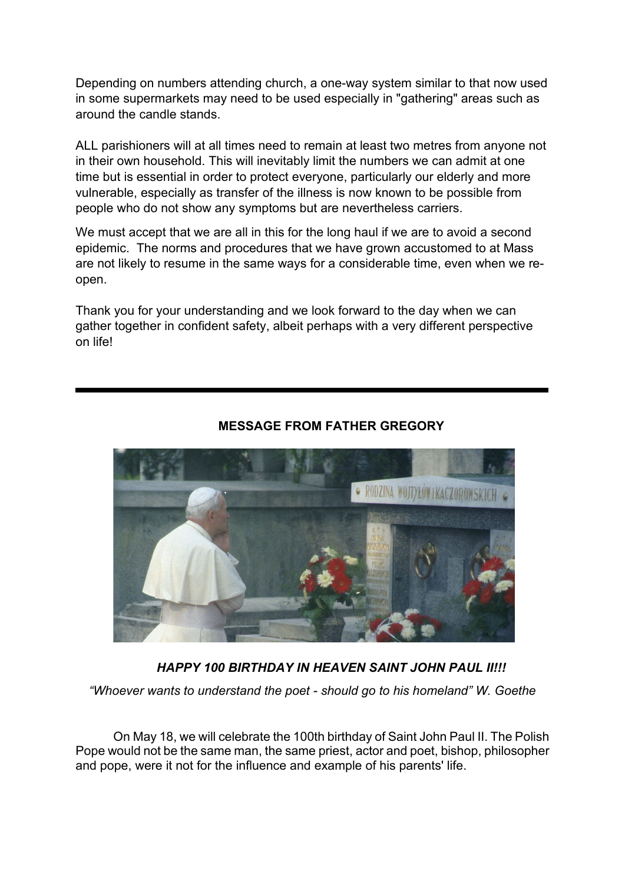Depending on numbers attending church, a one-way system similar to that now used in some supermarkets may need to be used especially in "gathering" areas such as around the candle stands.

ALL parishioners will at all times need to remain at least two metres from anyone not in their own household. This will inevitably limit the numbers we can admit at one time but is essential in order to protect everyone, particularly our elderly and more vulnerable, especially as transfer of the illness is now known to be possible from people who do not show any symptoms but are nevertheless carriers.

We must accept that we are all in this for the long haul if we are to avoid a second epidemic. The norms and procedures that we have grown accustomed to at Mass are not likely to resume in the same ways for a considerable time, even when we reopen.

Thank you for your understanding and we look forward to the day when we can gather together in confident safety, albeit perhaps with a very different perspective on life!



# **MESSAGE FROM FATHER GREGORY**

*HAPPY 100 BIRTHDAY IN HEAVEN SAINT JOHN PAUL II!!!*

*"Whoever wants to understand the poet - should go to his homeland" W. Goethe*

On May 18, we will celebrate the 100th birthday of Saint John Paul II. The Polish Pope would not be the same man, the same priest, actor and poet, bishop, philosopher and pope, were it not for the influence and example of his parents' life.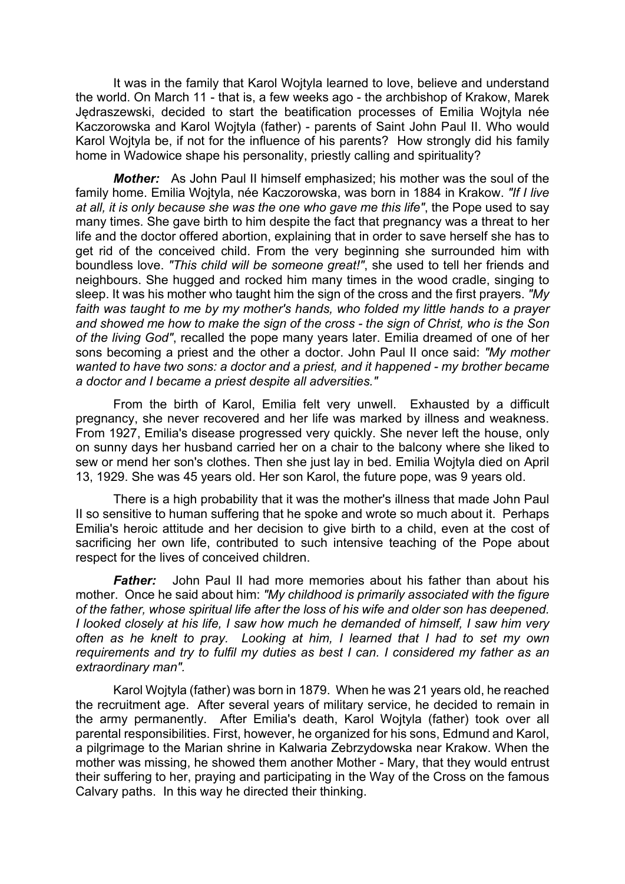It was in the family that Karol Wojtyla learned to love, believe and understand the world. On March 11 - that is, a few weeks ago - the archbishop of Krakow, Marek Jędraszewski, decided to start the beatification processes of Emilia Wojtyla née Kaczorowska and Karol Wojtyla (father) - parents of Saint John Paul II. Who would Karol Wojtyla be, if not for the influence of his parents? How strongly did his family home in Wadowice shape his personality, priestly calling and spirituality?

*Mother:* As John Paul II himself emphasized; his mother was the soul of the family home. Emilia Wojtyla, née Kaczorowska, was born in 1884 in Krakow. *"If I live at all, it is only because she was the one who gave me this life"*, the Pope used to say many times. She gave birth to him despite the fact that pregnancy was a threat to her life and the doctor offered abortion, explaining that in order to save herself she has to get rid of the conceived child. From the very beginning she surrounded him with boundless love. *"This child will be someone great!"*, she used to tell her friends and neighbours. She hugged and rocked him many times in the wood cradle, singing to sleep. It was his mother who taught him the sign of the cross and the first prayers. *"My faith was taught to me by my mother's hands, who folded my little hands to a prayer and showed me how to make the sign of the cross - the sign of Christ, who is the Son of the living God"*, recalled the pope many years later. Emilia dreamed of one of her sons becoming a priest and the other a doctor. John Paul II once said: *"My mother wanted to have two sons: a doctor and a priest, and it happened - my brother became a doctor and I became a priest despite all adversities."*

From the birth of Karol, Emilia felt very unwell. Exhausted by a difficult pregnancy, she never recovered and her life was marked by illness and weakness. From 1927, Emilia's disease progressed very quickly. She never left the house, only on sunny days her husband carried her on a chair to the balcony where she liked to sew or mend her son's clothes. Then she just lay in bed. Emilia Wojtyla died on April 13, 1929. She was 45 years old. Her son Karol, the future pope, was 9 years old.

There is a high probability that it was the mother's illness that made John Paul II so sensitive to human suffering that he spoke and wrote so much about it. Perhaps Emilia's heroic attitude and her decision to give birth to a child, even at the cost of sacrificing her own life, contributed to such intensive teaching of the Pope about respect for the lives of conceived children.

*Father:* John Paul II had more memories about his father than about his mother. Once he said about him: *"My childhood is primarily associated with the figure of the father, whose spiritual life after the loss of his wife and older son has deepened. I looked closely at his life, I saw how much he demanded of himself, I saw him very often as he knelt to pray. Looking at him, I learned that I had to set my own requirements and try to fulfil my duties as best I can. I considered my father as an extraordinary man".*

Karol Wojtyla (father) was born in 1879. When he was 21 years old, he reached the recruitment age. After several years of military service, he decided to remain in the army permanently. After Emilia's death, Karol Wojtyla (father) took over all parental responsibilities. First, however, he organized for his sons, Edmund and Karol, a pilgrimage to the Marian shrine in Kalwaria Zebrzydowska near Krakow. When the mother was missing, he showed them another Mother - Mary, that they would entrust their suffering to her, praying and participating in the Way of the Cross on the famous Calvary paths. In this way he directed their thinking.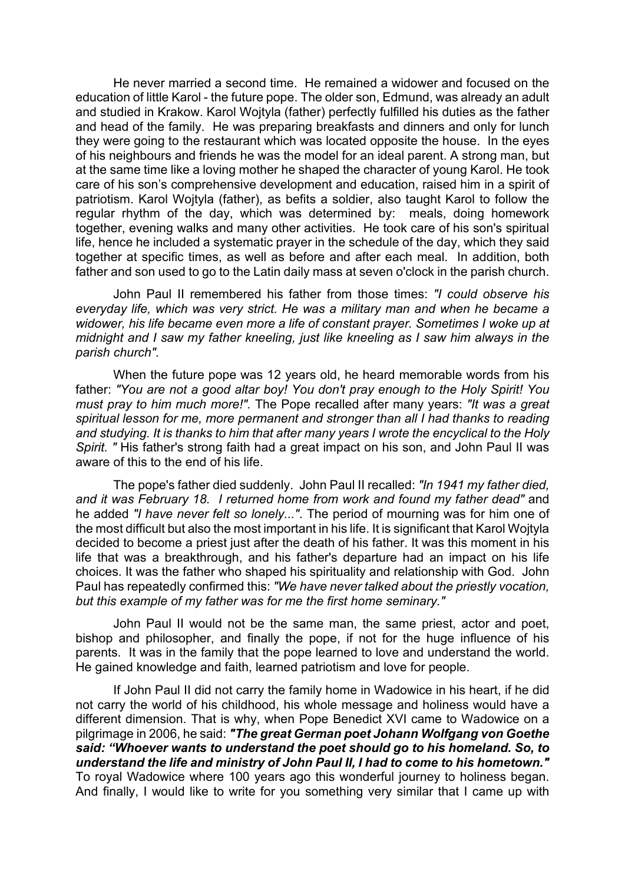He never married a second time. He remained a widower and focused on the education of little Karol - the future pope. The older son, Edmund, was already an adult and studied in Krakow. Karol Wojtyla (father) perfectly fulfilled his duties as the father and head of the family. He was preparing breakfasts and dinners and only for lunch they were going to the restaurant which was located opposite the house. In the eyes of his neighbours and friends he was the model for an ideal parent. A strong man, but at the same time like a loving mother he shaped the character of young Karol. He took care of his son's comprehensive development and education, raised him in a spirit of patriotism. Karol Wojtyla (father), as befits a soldier, also taught Karol to follow the regular rhythm of the day, which was determined by: meals, doing homework together, evening walks and many other activities. He took care of his son's spiritual life, hence he included a systematic prayer in the schedule of the day, which they said together at specific times, as well as before and after each meal. In addition, both father and son used to go to the Latin daily mass at seven o'clock in the parish church.

John Paul II remembered his father from those times: *"I could observe his everyday life, which was very strict. He was a military man and when he became a widower, his life became even more a life of constant prayer. Sometimes I woke up at midnight and I saw my father kneeling, just like kneeling as I saw him always in the parish church".*

When the future pope was 12 years old, he heard memorable words from his father: *"You are not a good altar boy! You don't pray enough to the Holy Spirit! You must pray to him much more!".* The Pope recalled after many years: *"It was a great spiritual lesson for me, more permanent and stronger than all I had thanks to reading and studying. It is thanks to him that after many years I wrote the encyclical to the Holy Spirit. "* His father's strong faith had a great impact on his son, and John Paul II was aware of this to the end of his life.

The pope's father died suddenly. John Paul II recalled: *"In 1941 my father died, and it was February 18. I returned home from work and found my father dead"* and he added *"I have never felt so lonely..."*. The period of mourning was for him one of the most difficult but also the most important in his life. It is significant that Karol Wojtyla decided to become a priest just after the death of his father. It was this moment in his life that was a breakthrough, and his father's departure had an impact on his life choices. It was the father who shaped his spirituality and relationship with God. John Paul has repeatedly confirmed this: *"We have never talked about the priestly vocation, but this example of my father was for me the first home seminary."*

John Paul II would not be the same man, the same priest, actor and poet, bishop and philosopher, and finally the pope, if not for the huge influence of his parents. It was in the family that the pope learned to love and understand the world. He gained knowledge and faith, learned patriotism and love for people.

If John Paul II did not carry the family home in Wadowice in his heart, if he did not carry the world of his childhood, his whole message and holiness would have a different dimension. That is why, when Pope Benedict XVI came to Wadowice on a pilgrimage in 2006, he said: *"The great German poet Johann Wolfgang von Goethe said: "Whoever wants to understand the poet should go to his homeland. So, to understand the life and ministry of John Paul II, I had to come to his hometown."* To royal Wadowice where 100 years ago this wonderful journey to holiness began. And finally, I would like to write for you something very similar that I came up with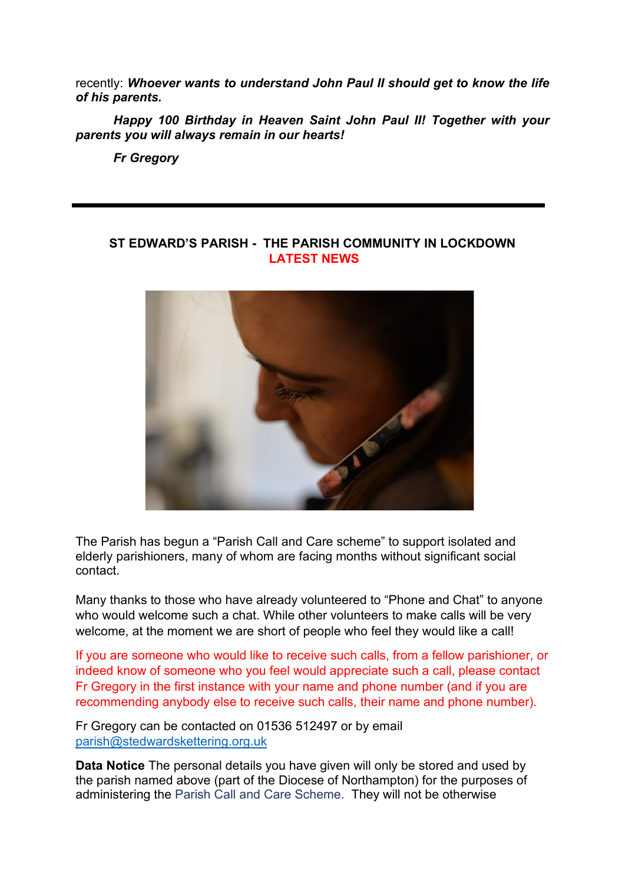recently: *Whoever wants to understand John Paul II should get to know the life of his parents.*

*Happy 100 Birthday in Heaven Saint John Paul II! Together with your parents you will always remain in our hearts!*

*Fr Gregory*

### **ST EDWARD'S PARISH - THE PARISH COMMUNITY IN LOCKDOWN LATEST NEWS**



The Parish has begun a "Parish Call and Care scheme" to support isolated and elderly parishioners, many of whom are facing months without significant social contact.

Many thanks to those who have already volunteered to "Phone and Chat" to anyone who would welcome such a chat. While other volunteers to make calls will be very welcome, at the moment we are short of people who feel they would like a call!

If you are someone who would like to receive such calls, from a fellow parishioner, or indeed know of someone who you feel would appreciate such a call, please contact Fr Gregory in the first instance with your name and phone number (and if you are recommending anybody else to receive such calls, their name and phone number).

Fr Gregory can be contacted on 01536 512497 or by email [parish@stedwardskettering.org.uk](mailto:parish@stedwardskettering.org.uk) 

**Data Notice** The personal details you have given will only be stored and used by the parish named above (part of the Diocese of Northampton) for the purposes of administering the Parish Call and Care Scheme. They will not be otherwise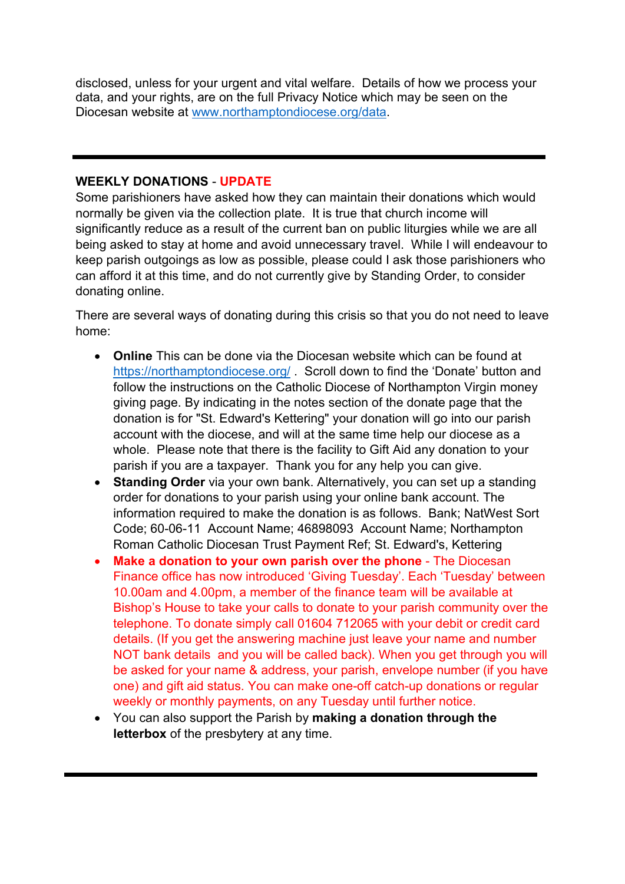disclosed, unless for your urgent and vital welfare. Details of how we process your data, and your rights, are on the full Privacy Notice which may be seen on the Diocesan website at [www.northamptondiocese.org/data.](http://www.northamptondiocese.org/data)

#### **WEEKLY DONATIONS** - **UPDATE**

Some parishioners have asked how they can maintain their donations which would normally be given via the collection plate. It is true that church income will significantly reduce as a result of the current ban on public liturgies while we are all being asked to stay at home and avoid unnecessary travel. While I will endeavour to keep parish outgoings as low as possible, please could I ask those parishioners who can afford it at this time, and do not currently give by Standing Order, to consider donating online.

There are several ways of donating during this crisis so that you do not need to leave home:

- **Online** This can be done via the Diocesan website which can be found at <https://northamptondiocese.org/> . Scroll down to find the 'Donate' button and follow the instructions on the Catholic Diocese of Northampton Virgin money giving page. By indicating in the notes section of the donate page that the donation is for "St. Edward's Kettering" your donation will go into our parish account with the diocese, and will at the same time help our diocese as a whole. Please note that there is the facility to Gift Aid any donation to your parish if you are a taxpayer. Thank you for any help you can give.
- **Standing Order** via your own bank. Alternatively, you can set up a standing order for donations to your parish using your online bank account. The information required to make the donation is as follows. Bank; NatWest Sort Code; 60-06-11 Account Name; 46898093 Account Name; Northampton Roman Catholic Diocesan Trust Payment Ref; St. Edward's, Kettering
- **Make a donation to your own parish over the phone** The Diocesan Finance office has now introduced 'Giving Tuesday'. Each 'Tuesday' between 10.00am and 4.00pm, a member of the finance team will be available at Bishop's House to take your calls to donate to your parish community over the telephone. To donate simply call 01604 712065 with your debit or credit card details. (If you get the answering machine just leave your name and number NOT bank details and you will be called back). When you get through you will be asked for your name & address, your parish, envelope number (if you have one) and gift aid status. You can make one-off catch-up donations or regular weekly or monthly payments, on any Tuesday until further notice.
- You can also support the Parish by **making a donation through the letterbox** of the presbytery at any time.